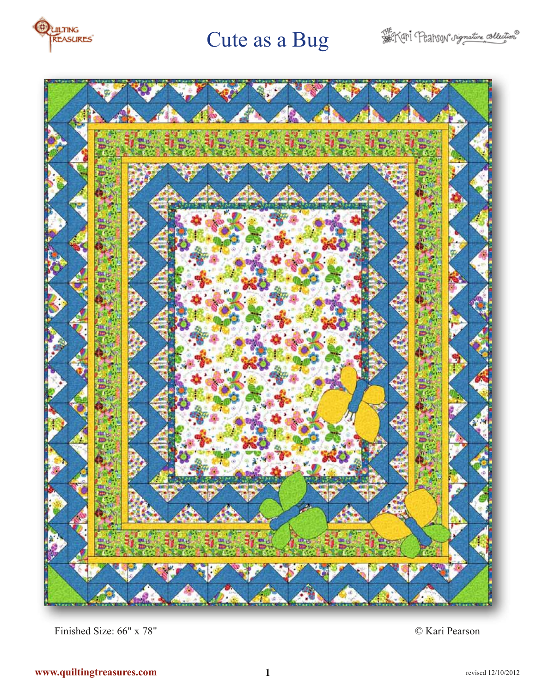



Finished Size: 66" x 78" © Kari Pearson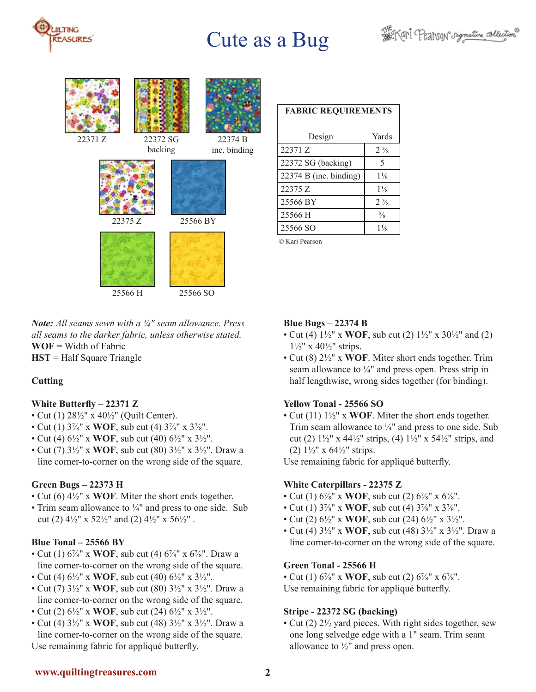



*Note: All seams sewn with a ¼" seam allowance. Press all seams to the darker fabric, unless otherwise stated.*  **WOF** = Width of Fabric **HST** = Half Square Triangle

## **Cutting**

#### **White Butterfly – 22371 Z**

- Cut (1) 28½" x 40½" (Quilt Center).
- Cut (1) 3⅞" x **WOF**, sub cut (4) 3⅞" x 3⅞".
- Cut (4) 6½" x **WOF**, sub cut (40) 6½" x 3½".
- Cut (7) 3½" x **WOF**, sub cut (80) 3½" x 3½". Draw a line corner-to-corner on the wrong side of the square.

## **Green Bugs – 22373 H**

- Cut (6) 4½" x **WOF**. Miter the short ends together.
- Trim seam allowance to  $\frac{1}{4}$ " and press to one side. Sub cut (2)  $4\frac{1}{2}$ " x  $52\frac{1}{2}$ " and (2)  $4\frac{1}{2}$ " x  $56\frac{1}{2}$ ".

#### **Blue Tonal – 25566 BY**

- Cut (1)  $6\frac{7}{8}$ " x **WOF**, sub cut (4)  $6\frac{7}{8}$ " x  $6\frac{7}{8}$ ". Draw a line corner-to-corner on the wrong side of the square.
- Cut (4) 6½" x **WOF**, sub cut (40) 6½" x 3½".
- Cut (7) 3½" x **WOF**, sub cut (80) 3½" x 3½". Draw a line corner-to-corner on the wrong side of the square.
- Cut (2) 6½" x **WOF**, sub cut (24) 6½" x 3½".
- Cut (4) 3½" x **WOF**, sub cut (48) 3½" x 3½". Draw a line corner-to-corner on the wrong side of the square. Use remaining fabric for appliqué butterfly.

| <b>FABRIC REQUIREMENTS</b> |                |
|----------------------------|----------------|
| Design                     | Yards          |
| 22371 Z                    | $2\frac{5}{8}$ |
| 22372 SG (backing)         | 5              |
| $22374 B$ (inc. binding)   | $1\frac{1}{8}$ |
| 22375 Z                    | $1\frac{1}{8}$ |
| 25566 BY                   | $2\frac{5}{8}$ |
| 25566 H                    | $\frac{5}{8}$  |
| 25566 SO                   | $1\frac{1}{8}$ |
|                            |                |

© Kari Pearson

### **Blue Bugs – 22374 B**

- Cut (4) 1½" x **WOF**, sub cut (2) 1½" x 30½" and (2)  $1\frac{1}{2}$ " x 40 $\frac{1}{2}$ " strips.
- Cut (8) 2½" x **WOF**. Miter short ends together. Trim seam allowance to  $\frac{1}{4}$ " and press open. Press strip in half lengthwise, wrong sides together (for binding).

## **Yellow Tonal - 25566 SO**

• Cut (11) 1½" x **WOF**. Miter the short ends together. Trim seam allowance to  $\frac{1}{4}$ " and press to one side. Sub cut (2)  $1\frac{1}{2}$ " x  $44\frac{1}{2}$ " strips, (4)  $1\frac{1}{2}$ " x  $54\frac{1}{2}$ " strips, and (2)  $1\frac{1}{2}$ " x  $64\frac{1}{2}$ " strips.

Use remaining fabric for appliqué butterfly.

## **White Caterpillars - 22375 Z**

- Cut (1)  $6\frac{7}{8}$ " x **WOF**, sub cut (2)  $6\frac{7}{8}$ " x  $6\frac{7}{8}$ ".
- Cut (1) 3⅞" x **WOF**, sub cut (4) 3⅞" x 3⅞".
- Cut (2) 6½" x **WOF**, sub cut (24) 6½" x 3½".
- Cut (4) 3½" x **WOF**, sub cut (48) 3½" x 3½". Draw a line corner-to-corner on the wrong side of the square.

## **Green Tonal - 25566 H**

• Cut (1)  $6\frac{7}{8}$ " x **WOF**, sub cut (2)  $6\frac{7}{8}$ " x  $6\frac{7}{8}$ ". Use remaining fabric for appliqué butterfly.

## **Stripe - 22372 SG (backing)**

• Cut (2) 2½ yard pieces. With right sides together, sew one long selvedge edge with a 1" seam. Trim seam allowance to  $\frac{1}{2}$ " and press open.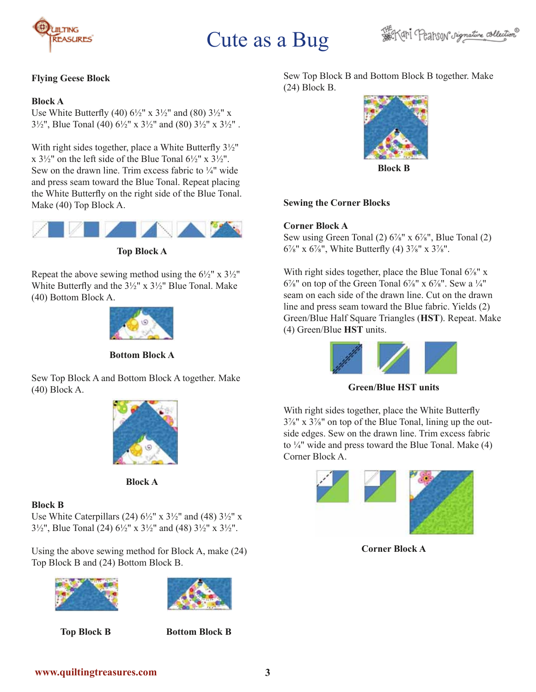



### **Flying Geese Block**

#### **Block A**

Use White Butterfly (40)  $6\frac{1}{2}$ " x  $3\frac{1}{2}$ " and (80)  $3\frac{1}{2}$ " x 3½", Blue Tonal (40)  $6\frac{1}{2}$ " x 3½" and (80)  $3\frac{1}{2}$ " x  $3\frac{1}{2}$ ".

With right sides together, place a White Butterfly 3½" x  $3\frac{1}{2}$ " on the left side of the Blue Tonal  $6\frac{1}{2}$ " x  $3\frac{1}{2}$ ". Sew on the drawn line. Trim excess fabric to  $\frac{1}{4}$  wide and press seam toward the Blue Tonal. Repeat placing the White Butterfly on the right side of the Blue Tonal. Make (40) Top Block A.



**Top Block A**

Repeat the above sewing method using the  $6\frac{1}{2}$ " x  $3\frac{1}{2}$ " White Butterfly and the 3½" x 3½" Blue Tonal. Make (40) Bottom Block A.



**Bottom Block A**

Sew Top Block A and Bottom Block A together. Make (40) Block A.



**Block A**

#### **Block B**

Use White Caterpillars (24)  $6\frac{1}{2}$ " x  $3\frac{1}{2}$ " and (48)  $3\frac{1}{2}$ " x 3½", Blue Tonal (24) 6½" x 3½" and (48) 3½" x 3½".

Using the above sewing method for Block A, make (24) Top Block B and (24) Bottom Block B.





**Top Block B Bottom Block B**

Sew Top Block B and Bottom Block B together. Make (24) Block B.



**Block B**

#### **Sewing the Corner Blocks**

#### **Corner Block A**

Sew using Green Tonal  $(2)$  6<sup>7</sup>/<sub>8</sub>" x 6<sup>7</sup>/<sub>8</sub>", Blue Tonal  $(2)$  $6\frac{7}{8}$ " x  $6\frac{7}{8}$ ", White Butterfly (4)  $3\frac{7}{8}$ " x  $3\frac{7}{8}$ ".

With right sides together, place the Blue Tonal  $6\frac{7}{8}$ " x  $6\frac{7}{8}$ " on top of the Green Tonal  $6\frac{7}{8}$ " x  $6\frac{7}{8}$ ". Sew a  $\frac{1}{4}$ " seam on each side of the drawn line. Cut on the drawn line and press seam toward the Blue fabric. Yields (2) Green/Blue Half Square Triangles (**HST**). Repeat. Make (4) Green/Blue **HST** units.



**Green/Blue HST units**

With right sides together, place the White Butterfly 3⅞" x 3⅞" on top of the Blue Tonal, lining up the outside edges. Sew on the drawn line. Trim excess fabric to  $\frac{1}{4}$ " wide and press toward the Blue Tonal. Make (4) Corner Block A.



**Corner Block A**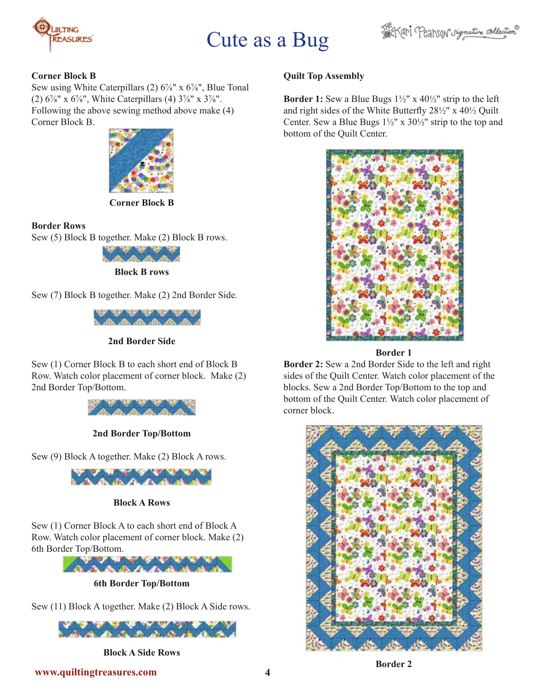



#### **Corner Block B**

Sew using White Caterpillars (2) 6<sup>7</sup>/<sub>8</sub>" x 6<sup>7</sup>/<sub>8</sub>", Blue Tonal (2)  $6\frac{7}{8}$ " x  $6\frac{7}{8}$ ", White Caterpillars (4)  $3\frac{7}{8}$ " x  $3\frac{7}{8}$ ". Following the above sewing method above make (4) Corner Block B.



**Corner Block B**

### **Border Rows**

Sew (5) Block B together. Make (2) Block B rows.



**Block B rows**

Sew (7) Block B together. Make (2) 2nd Border Side.



**2nd Border Side**

Sew (1) Corner Block B to each short end of Block B Row. Watch color placement of corner block. Make (2) 2nd Border Top/Bottom.



**2nd Border Top/Bottom** 

Sew (9) Block A together. Make (2) Block A rows.



## **Block A Rows**

Sew (1) Corner Block A to each short end of Block A Row. Watch color placement of corner block. Make (2) 6th Border Top/Bottom.



**6th Border Top/Bottom**

Sew (11) Block A together. Make (2) Block A Side rows.



**Block A Side Rows**

## **Quilt Top Assembly**

**Border 1:** Sew a Blue Bugs 1½" x 40½" strip to the left and right sides of the White Butterfly 28½" x 40½ Quilt Center. Sew a Blue Bugs  $1\frac{1}{2}$ " x  $30\frac{1}{2}$ " strip to the top and bottom of the Quilt Center.



**Border 1**

**Border 2:** Sew a 2nd Border Side to the left and right sides of the Quilt Center. Watch color placement of the blocks. Sew a 2nd Border Top/Bottom to the top and bottom of the Quilt Center. Watch color placement of corner block.



**Border 2**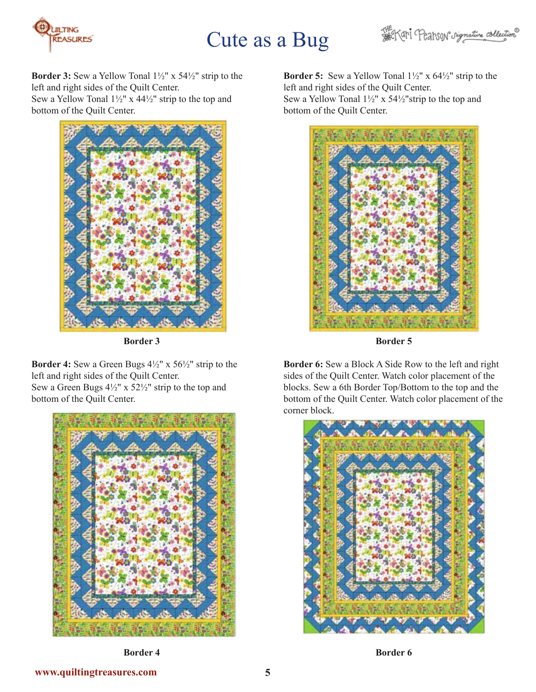



**Border 3:** Sew a Yellow Tonal 1½" x 54½" strip to the left and right sides of the Quilt Center. Sew a Yellow Tonal 1½" x 44½" strip to the top and bottom of the Quilt Center.



**Border 3**

**Border 4:** Sew a Green Bugs 4½" x 56½" strip to the left and right sides of the Quilt Center. Sew a Green Bugs 4½" x 52½" strip to the top and bottom of the Quilt Center.



**Border 5:** Sew a Yellow Tonal 1½" x 64½" strip to the left and right sides of the Quilt Center. Sew a Yellow Tonal 1½" x 54½"strip to the top and bottom of the Quilt Center.



**Border 5**

**Border 6:** Sew a Block A Side Row to the left and right sides of the Quilt Center. Watch color placement of the blocks. Sew a 6th Border Top/Bottom to the top and the bottom of the Quilt Center. Watch color placement of the corner block.



**Border 4**

**Border 6**